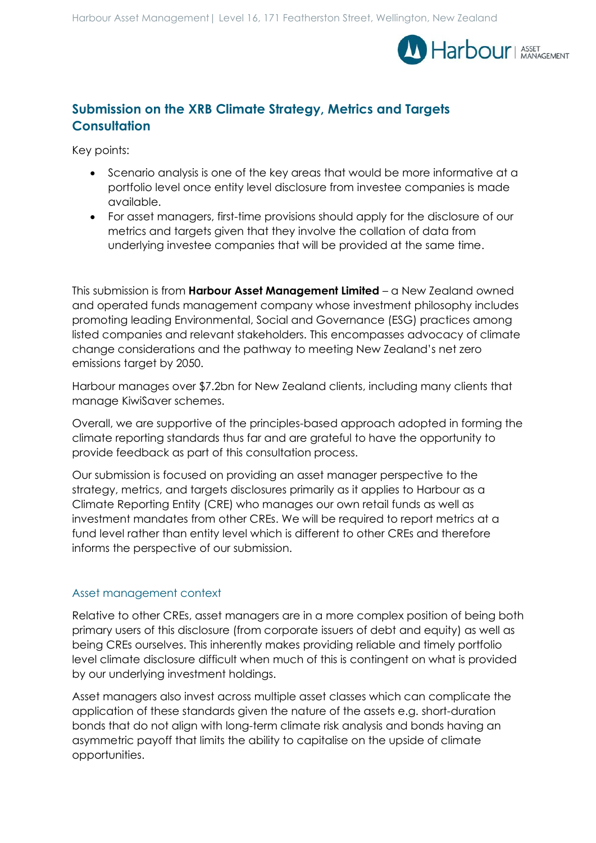

# **Submission on the XRB Climate Strategy, Metrics and Targets Consultation**

Key points:

- Scenario analysis is one of the key areas that would be more informative at a portfolio level once entity level disclosure from investee companies is made available.
- For asset managers, first-time provisions should apply for the disclosure of our metrics and targets given that they involve the collation of data from underlying investee companies that will be provided at the same time.

This submission is from **Harbour Asset Management Limited** – a New Zealand owned and operated funds management company whose investment philosophy includes promoting leading Environmental, Social and Governance (ESG) practices among listed companies and relevant stakeholders. This encompasses advocacy of climate change considerations and the pathway to meeting New Zealand's net zero emissions target by 2050.

Harbour manages over \$7.2bn for New Zealand clients, including many clients that manage KiwiSaver schemes.

Overall, we are supportive of the principles-based approach adopted in forming the climate reporting standards thus far and are grateful to have the opportunity to provide feedback as part of this consultation process.

Our submission is focused on providing an asset manager perspective to the strategy, metrics, and targets disclosures primarily as it applies to Harbour as a Climate Reporting Entity (CRE) who manages our own retail funds as well as investment mandates from other CREs. We will be required to report metrics at a fund level rather than entity level which is different to other CREs and therefore informs the perspective of our submission.

## Asset management context

Relative to other CREs, asset managers are in a more complex position of being both primary users of this disclosure (from corporate issuers of debt and equity) as well as being CREs ourselves. This inherently makes providing reliable and timely portfolio level climate disclosure difficult when much of this is contingent on what is provided by our underlying investment holdings.

Asset managers also invest across multiple asset classes which can complicate the application of these standards given the nature of the assets e.g. short-duration bonds that do not align with long-term climate risk analysis and bonds having an asymmetric payoff that limits the ability to capitalise on the upside of climate opportunities.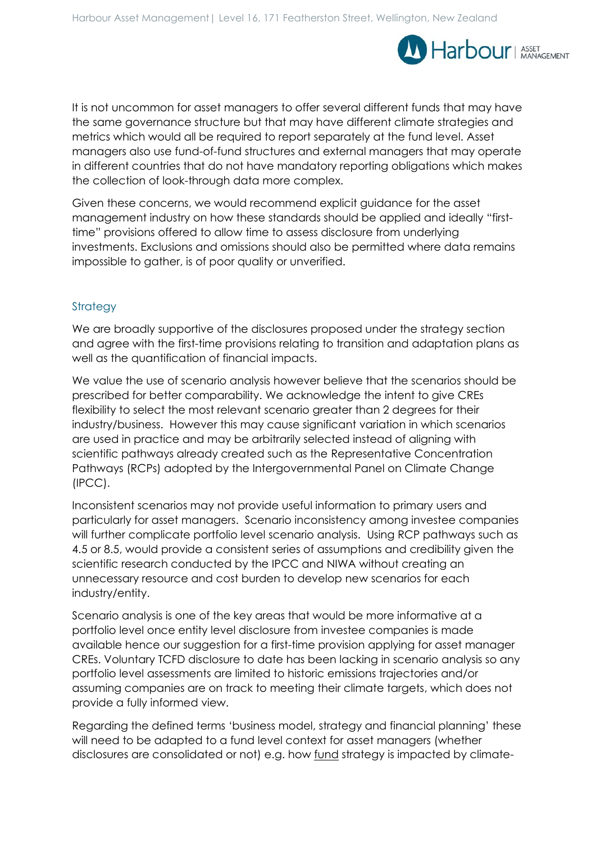

It is not uncommon for asset managers to offer several different funds that may have the same governance structure but that may have different climate strategies and metrics which would all be required to report separately at the fund level. Asset managers also use fund-of-fund structures and external managers that may operate in different countries that do not have mandatory reporting obligations which makes the collection of look-through data more complex.

Given these concerns, we would recommend explicit guidance for the asset management industry on how these standards should be applied and ideally "firsttime" provisions offered to allow time to assess disclosure from underlying investments. Exclusions and omissions should also be permitted where data remains impossible to gather, is of poor quality or unverified.

## Strategy

We are broadly supportive of the disclosures proposed under the strategy section and agree with the first-time provisions relating to transition and adaptation plans as well as the quantification of financial impacts.

We value the use of scenario analysis however believe that the scenarios should be prescribed for better comparability. We acknowledge the intent to give CREs flexibility to select the most relevant scenario greater than 2 degrees for their industry/business. However this may cause significant variation in which scenarios are used in practice and may be arbitrarily selected instead of aligning with scientific pathways already created such as the Representative Concentration Pathways (RCPs) adopted by the Intergovernmental Panel on Climate Change (IPCC).

Inconsistent scenarios may not provide useful information to primary users and particularly for asset managers. Scenario inconsistency among investee companies will further complicate portfolio level scenario analysis. Using RCP pathways such as 4.5 or 8.5, would provide a consistent series of assumptions and credibility given the scientific research conducted by the IPCC and NIWA without creating an unnecessary resource and cost burden to develop new scenarios for each industry/entity.

Scenario analysis is one of the key areas that would be more informative at a portfolio level once entity level disclosure from investee companies is made available hence our suggestion for a first-time provision applying for asset manager CREs. Voluntary TCFD disclosure to date has been lacking in scenario analysis so any portfolio level assessments are limited to historic emissions trajectories and/or assuming companies are on track to meeting their climate targets, which does not provide a fully informed view.

Regarding the defined terms 'business model, strategy and financial planning' these will need to be adapted to a fund level context for asset managers (whether disclosures are consolidated or not) e.g. how fund strategy is impacted by climate-